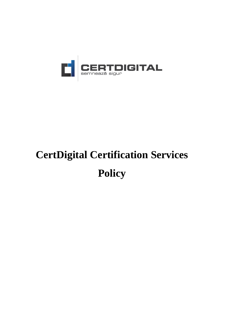

# **CertDigital Certification Services Policy**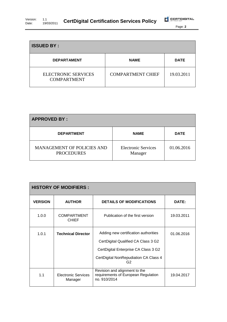| Version: |            | <b>CertDigital Certification Services Policy</b> |  |
|----------|------------|--------------------------------------------------|--|
| Date:    | 19/03/2011 |                                                  |  |

| <b>ISSUED BY:</b>                                |                          |             |  |  |
|--------------------------------------------------|--------------------------|-------------|--|--|
| <b>DEPARTAMENT</b>                               | <b>NAME</b>              | <b>DATE</b> |  |  |
| <b>ELECTRONIC SERVICES</b><br><b>COMPARTMENT</b> | <b>COMPARTMENT CHIEF</b> | 19.03.2011  |  |  |

| <b>APPROVED BY:</b>                             |                                       |             |  |  |  |
|-------------------------------------------------|---------------------------------------|-------------|--|--|--|
| <b>DEPARTMENT</b>                               | <b>NAME</b>                           | <b>DATE</b> |  |  |  |
| MANAGEMENT OF POLICIES AND<br><b>PROCEDURES</b> | <b>Electronic Services</b><br>Manager | 01.06.2016  |  |  |  |

| <b>HISTORY OF MODIFIERS:</b> |                                    |                                                                                                                                                                                |              |  |  |  |
|------------------------------|------------------------------------|--------------------------------------------------------------------------------------------------------------------------------------------------------------------------------|--------------|--|--|--|
| <b>VERSION</b>               | <b>AUTHOR</b>                      | <b>DETAILS OF MODIFICATIONS</b>                                                                                                                                                | <b>DATE:</b> |  |  |  |
| 1.0.0                        | <b>COMPARTMENT</b><br><b>CHIEF</b> | Publication of the first version                                                                                                                                               | 19.03.2011   |  |  |  |
| 1.0.1                        | <b>Technical Director</b>          | Adding new certification authorities<br>CertDigital Qualified CA Class 3 G2<br>CertDigital Enterprise CA Class 3 G2<br>CertDigital NonRepudiation CA Class 4<br>G <sub>2</sub> | 01.06.2016   |  |  |  |
| 1.1                          | Electronic Services<br>Manager     | Revision and alignment to the<br>requirements of European Regulation<br>no. 910/2014                                                                                           | 19.04.2017   |  |  |  |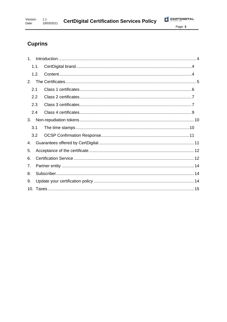# **Cuprins**

| $1_{-}$ |      |  |
|---------|------|--|
|         | 1.1. |  |
|         | 1.2. |  |
| 2.      |      |  |
| 2.1     |      |  |
| 2.2     |      |  |
| 2.3     |      |  |
| 2.4     |      |  |
| 3.      |      |  |
| 3.1     |      |  |
|         | 3.2  |  |
| 4.      |      |  |
| 5.      |      |  |
| 6.      |      |  |
| 7.      |      |  |
| 8.      |      |  |
| 9.      |      |  |
|         |      |  |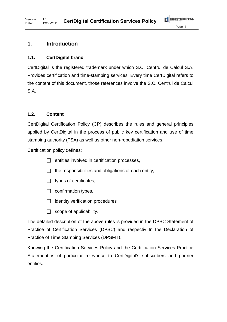### **1.1. CertDigital brand**

**1. Introduction**

CertDigital is the registered trademark under which S.C. Centrul de Calcul S.A. Provides certification and time-stamping services. Every time CertDigital refers to the content of this document, those references involve the S.C. Centrul de Calcul S.A.

#### **1.2. Content**

CertDigital Certification Policy (CP) describes the rules and general principles applied by CertDigital in the process of public key certification and use of time stamping authority (TSA) as well as other non-repudiation services.

Certification policy defines:

- $\Box$  entities involved in certification processes,
- $\Box$  the responsibilities and obligations of each entity,
- $\Box$  types of certificates,
- $\Box$  confirmation types,
- $\Box$  identity verification procedures
- $\Box$  scope of applicability.

The detailed description of the above rules is provided in the DPSC Statement of Practice of Certification Services (DPSC) and respectiv In the Declaration of Practice of Time Stamping Services (DPSMT).

Knowing the Certification Services Policy and the Certification Services Practice Statement is of particular relevance to CertDigital's subscribers and partner entities.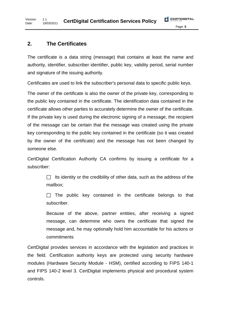# **2. The Certificates**

The certificate is a data string (message) that contains at least the name and authority, identifier, subscriber identifier, public key, validity period, serial number and signature of the issuing authority.

Certificates are used to link the subscriber's personal data to specific public keys.

The owner of the certificate is also the owner of the private key, corresponding to the public key contained in the certificate. The identification data contained in the certificate allows other parties to accurately determine the owner of the certificate. If the private key is used during the electronic signing of a message, the recipient of the message can be certain that the message was created using the private key corresponding to the public key contained in the certificate (so it was created by the owner of the certificate) and the message has not been changed by someone else.

CertDigital Certification Authority CA confirms by issuing a certificate for a subscriber:

> $\Box$  Its identity or the credibility of other data, such as the address of the mailbox;

> $\Box$  The public key contained in the certificate belongs to that subscriber.

> Because of the above, partner entities, after receiving a signed message, can determine who owns the certificate that signed the message and, he may optionally hold him accountable for his actions or commitments

CertDigital provides services in accordance with the legislation and practices in the field. Certification authority keys are protected using security hardware modules (Hardware Security Module - HSM), certified according to FIPS 140-1 and FIPS 140-2 level 3. CertDigital implements physical and procedural system controls.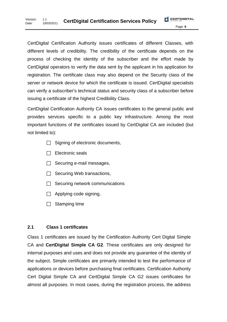CertDigital Certification Authority issues certificates of different Classes, with different levels of credibility. The credibility of the certificate depends on the process of checking the identity of the subscriber and the effort made by CertDigital operators to verify the data sent by the applicant in his application for registration. The certificate class may also depend on the Security class of the server or network device for which the certificate is issued. CertDigital specialists can verify a subscriber's technical status and security class of a subscriber before issuing a certificate of the highest Credibility Class.

CertDigital Certification Authority CA issues certificates to the general public and provides services specific to a public key infrastructure. Among the most important functions of the certificates issued by CertDigital CA are included (but not limited to):

- $\Box$  Signing of electronic documents,
- $\Box$  Electronic seals
- $\Box$  Securing e-mail messages,
- $\Box$  Securing Web transactions,
- $\Box$  Securing network communications
- $\Box$  Applying code signing,
- $\Box$  Stamping time

#### **2.1 Class 1 certificates**

Class 1 certificates are issued by the Certification Authority Cert Digital Simple CA and **CertDigital Simple CA G2**. These certificates are only designed for internal purposes and uses and does not provide any guarantee of the identity of the subject. Simple certificates are primarily intended to test the performance of applications or devices before purchasing final certificates. Certification Authority Cert Digital Simple CA and CertDigital Simple CA G2 issues certificates for almost all purposes. In most cases, during the registration process, the address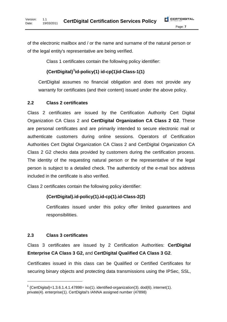of the electronic mailbox and / or the name and surname of the natural person or of the legal entity's representative are being verified.

Class 1 certificates contain the following policy identifier:

#### **{CertDigital}<sup>1</sup> id-policy(1) id-cp(1)id-Class-1(1)**

CertDigital assumes no financial obligation and does not provide any warranty for certificates (and their content) issued under the above policy.

#### **2.2 Class 2 certificates**

Class 2 certificates are issued by the Certification Authority Cert Digital Organization CA Class 2 and **CertDigital Organization CA Class 2 G2**. These are personal certificates and are primarily intended to secure electronic mail or authenticate customers during online sessions. Operators of Certification Authorities Cert Digital Organization CA Class 2 and CertDigital Organization CA Class 2 G2 checks data provided by customers during the certification process. The identity of the requesting natural person or the representative of the legal person is subject to a detailed check. The authenticity of the e-mail box address included in the certificate is also verified.

Class 2 certificates contain the following policy identifier:

#### **{CertDigital}.id-policy(1).id-cp(1).id-Class-2(2)**

Certificates issued under this policy offer limited guarantees and responsibilities.

#### **2.3 Class 3 certificates**

-

Class 3 certificates are issued by 2 Certification Authorities: **CertDigital Enterprise CA Class 3 G2,** and **CertDigital Qualified CA Class 3 G2**.

Certificates issued in this class can be Qualified or Certified Certificates for securing binary objects and protecting data transmissions using the IPSec, SSL,

 $1$  {CertDigital}=1.3.6.1.4.1.47898= iso(1). identified-organization(3). dod(6). internet(1). private(4). enterprise(1). CertDigital's IANNA assigned number (47898)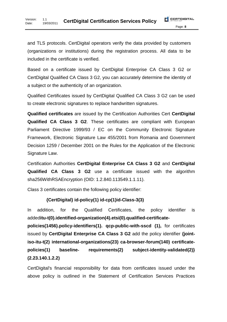and TLS protocols. CertDigital operators verify the data provided by customers (organizations or institutions) during the registration process. All data to be included in the certificate is verified.

Based on a certificate issued by CertDigital Enterprise CA Class 3 G2 or CertDigital Qualified CA Class 3 G2, you can accurately determine the identity of a subject or the authenticity of an organization.

Qualified Certificates issued by CertDigital Qualified CA Class 3 G2 can be used to create electronic signatures to replace handwritten signatures.

**Qualified certificates** are issued by the Certification Authorities Cert **CertDigital Qualified CA Class 3 G2**. These certificates are compliant with European Parliament Directive 1999/93 / EC on the Community Electronic Signature Framework, Electronic Signature Law 455/2001 from Romania and Government Decision 1259 / December 2001 on the Rules for the Application of the Electronic Signature Law.

Certification Authorities **CertDigital Enterprise CA Class 3 G2** and **CertDigital Qualified CA Class 3 G2** use a certificate issued with the algorithm sha256WithRSAEncryption (OID: 1.2.840.113549.1.1.11).

Class 3 certificates contain the following policy identifier:

#### **{CertDigital} id-policy(1) id-cp(1)id-Class-3(3)**

In addition, for the Qualified Certificates, the policy identifier is added**itu-t(0).identified-organization(4).etsi(0).qualified-certificate-**

**policies(1456).policy-identifiers(1). qcp-public-with-sscd (1),** for certificates issued by **CertDigital Enterprise CA Class 3 G2** add the policy identifier **{joint**‐ **iso**‐**itu**‐**t(2) international**‐**organizations(23) ca**‐**browser**‐**forum(140) certificate**‐ **policies(1) baseline**‐ **requirements(2) subject**‐**identity**‐**validated(2)} (2.23.140.1.2.2)** 

CertDigital's financial responsibility for data from certificates issued under the above policy is outlined in the Statement of Certification Services Practices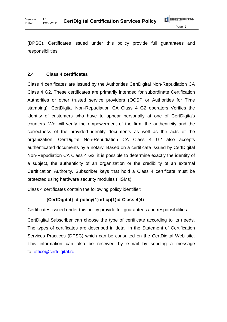(DPSC). Certificates issued under this policy provide full guarantees and responsibilities

#### **2.4 Class 4 certificates**

Class 4 certificates are issued by the Authorities CertDigital Non-Repudiation CA Class 4 G2. These certificates are primarily intended for subordinate Certification Authorities or other trusted service providers (OCSP or Authorities for Time stamping). CertDigital Non-Repudiation CA Class 4 G2 operators Verifies the identity of customers who have to appear personally at one of CertDigita's counters. We will verify the empowerment of the firm, the authenticity and the correctness of the provided identity documents as well as the acts of the organization. CertDigital Non-Repudiation CA Class 4 G2 also accepts authenticated documents by a notary. Based on a certificate issued by CertDigital Non-Repudiation CA Class 4 G2, it is possible to determine exactly the identity of a subject, the authenticity of an organization or the credibility of an external Certification Authority. Subscriber keys that hold a Class 4 certificate must be protected using hardware security modules (HSMs)

Class 4 certificates contain the following policy identifier:

#### **{CertDigital} id-policy(1) id-cp(1)id-Class-4(4)**

Certificates issued under this policy provide full guarantees and responsibilities.

CertDigital Subscriber can choose the type of certificate according to its needs. The types of certificates are described in detail in the Statement of Certification Services Practices (DPSC) which can be consulted on the CertDigital Web site. This information can also be received by e-mail by sending a message to: office@certdigital.ro.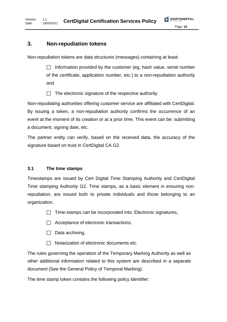# **3. Non-repudiation tokens**

Non-repudiation tokens are data structures (messages) containing at least:

 $\Box$  Information provided by the customer (eg, hash value, serial number of the certificate, application number, etc.) to a non-repudiation authority and

 $\Box$  The electronic signature of the respective authority

Non-repudiating authorities offering customer service are affiliated with CertDigital. By issuing a token, a non-repudiation authority confirms the occurrence of an event at the moment of its creation or at a prior time. This event can be: submitting a document, signing date, etc.

The partner entity can verify, based on the received data, the accuracy of the signature based on trust in CertDigital CA G2.

# **3.1 The time stamps**

Timestamps are issued by Cert Digital Time Stamping Authority and CertDigital Time stamping Authority G2. Time stamps, as a basic element in ensuring nonrepudiation, are issued both to private individuals and those belonging to an organization.

 $\Box$  Time-stamps can be incorporated into: Electronic signatures,

- $\Box$  Acceptance of electronic transactions,
- $\Box$  Data archiving,
- $\Box$  Notarization of electronic documents etc.

The rules governing the operation of the Temporary Marking Authority as well as other additional information related to this system are described in a separate document (See the General Policy of Temporal Marking).

The time stamp token contains the following policy identifier: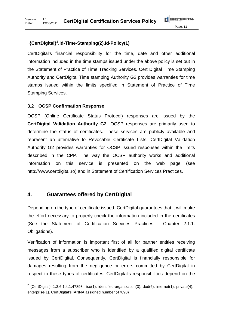# **{CertDigital} 2 .id-Time-Stamping(2).Id-Policy(1)**

CertDigital's financial responsibility for the time, date and other additional information included in the time stamps issued under the above policy is set out in the Statement of Practice of Time Tracking Services. Cert Digital Time Stamping Authority and CertDigital Time stamping Authority G2 provides warranties for time stamps issued within the limits specified in Statement of Practice of Time Stamping Services.

#### **3.2 OCSP Confirmation Response**

OCSP (Online Certificate Status Protocol) responses are issued by the **CertDigital Validation Authority G2**. OCSP responses are primarily used to determine the status of certificates. These services are publicly available and represent an alternative to Revocable Certificate Lists. CertDigital Validation Authority G2 provides warranties for OCSP issued responses within the limits described in the CPP. The way the OCSP authority works and additional information on this service is presented on the web page (see http://www.certdigital.ro) and in Statement of Certification Services Practices.

# **4. Guarantees offered by CertDigital**

-

Depending on the type of certificate issued, CertDigital guarantees that it will make the effort necessary to properly check the information included in the certificates (See the Statement of Certification Services Practices - Chapter 2.1.1: Obligations).

Verification of information is important first of all for partner entities receiving messages from a subscriber who is identified by a qualified digital certificate issued by CertDigital. Consequently, CertDigital is financially responsible for damages resulting from the negligence or errors committed by CertDigital in respect to these types of certificates. CertDigital's responsibilities depend on the

<sup>&</sup>lt;sup>2</sup> {CertDigital}=1.3.6.1.4.1.47898= iso(1). identified-organization(3). dod(6). internet(1). private(4). enterprise(1). CertDigital's IANNA assigned number (47898)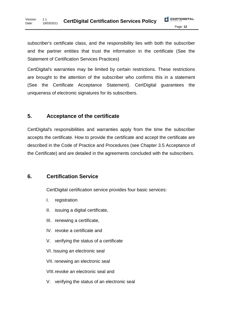subscriber's certificate class, and the responsibility lies with both the subscriber and the partner entities that trust the information in the certificate (See the Statement of Certification Services Practices)

CertDigital's warranties may be limited by certain restrictions. These restrictions are brought to the attention of the subscriber who confirms this in a statement (See the Certificate Acceptance Statement). CertDigital guarantees the uniqueness of electronic signatures for its subscribers.

# **5. Acceptance of the certificate**

CertDigital's responsibilities and warranties apply from the time the subscriber accepts the certificate. How to provide the certificate and accept the certificate are described in the Code of Practice and Procedures (see Chapter 3.5 Acceptance of the Certificate) and are detailed in the agreements concluded with the subscribers.

# **6. Certification Service**

CertDigital certification service provides four basic services:

- I. registration
- II. issuing a digital certificate,
- III. renewing a certificate,
- IV. revoke a certificate and
- V. verifying the status of a certificate
- VI. Issuing an electronic seal
- VII. renewing an electronic seal
- VIII. revoke an electronic seal and
- V. verifying the status of an electronic seal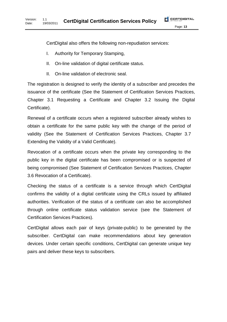CertDigital also offers the following non-repudiation services:

- I. Authority for Temporary Stamping,
- II. On-line validation of digital certificate status.
- II. On-line validation of electronic seal.

The registration is designed to verify the identity of a subscriber and precedes the issuance of the certificate (See the Statement of Certification Services Practices, Chapter 3.1 Requesting a Certificate and Chapter 3.2 Issuing the Digital Certificate).

Renewal of a certificate occurs when a registered subscriber already wishes to obtain a certificate for the same public key with the change of the period of validity (See the Statement of Certification Services Practices, Chapter 3.7 Extending the Validity of a Valid Certificate).

Revocation of a certificate occurs when the private key corresponding to the public key in the digital certificate has been compromised or is suspected of being compromised (See Statement of Certification Services Practices, Chapter 3.6 Revocation of a Certificate).

Checking the status of a certificate is a service through which CertDigital confirms the validity of a digital certificate using the CRLs issued by affiliated authorities. Verification of the status of a certificate can also be accomplished through online certificate status validation service (see the Statement of Certification Services Practices).

CertDigital allows each pair of keys (private-public) to be generated by the subscriber. CertDigital can make recommendations about key generation devices. Under certain specific conditions, CertDigital can generate unique key pairs and deliver these keys to subscribers.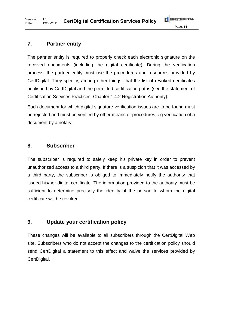# **7. Partner entity**

The partner entity is required to properly check each electronic signature on the received documents (including the digital certificate). During the verification process, the partner entity must use the procedures and resources provided by CertDigital. They specify, among other things, that the list of revoked certificates published by CertDigital and the permitted certification paths (see the statement of Certification Services Practices, Chapter 1.4.2 Registration Authority).

Each document for which digital signature verification issues are to be found must be rejected and must be verified by other means or procedures, eg verification of a document by a notary.

# **8. Subscriber**

The subscriber is required to safely keep his private key in order to prevent unauthorized access to a third party. If there is a suspicion that it was accessed by a third party, the subscriber is obliged to immediately notify the authority that issued his/her digital certificate. The information provided to the authority must be sufficient to determine precisely the identity of the person to whom the digital certificate will be revoked.

# **9. Update your certification policy**

These changes will be available to all subscribers through the CertDigital Web site. Subscribers who do not accept the changes to the certification policy should send CertDigital a statement to this effect and waive the services provided by CertDigital.